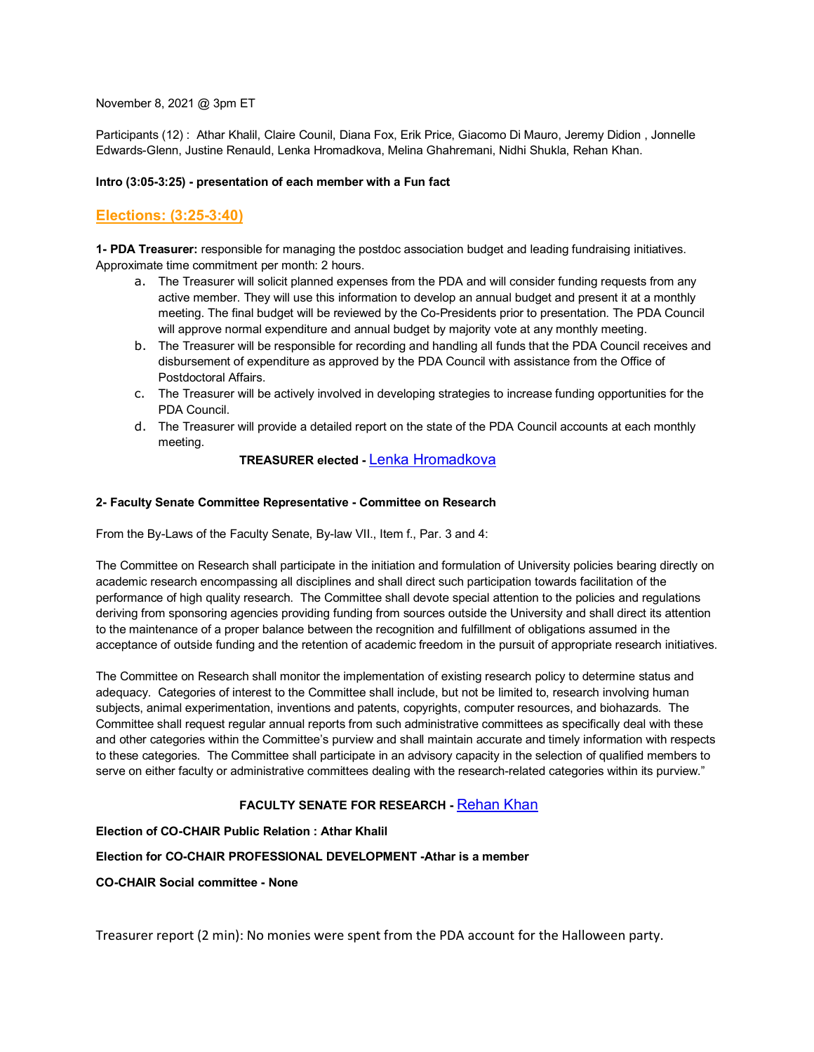### November 8, 2021 @ 3pm ET

Participants (12) : Athar Khalil, Claire Counil, Diana Fox, Erik Price, Giacomo Di Mauro, Jeremy Didion , Jonnelle Edwards-Glenn, Justine Renauld, Lenka Hromadkova, Melina Ghahremani, Nidhi Shukla, Rehan Khan.

### **Intro (3:05-3:25) - presentation of each member with a Fun fact**

# **Elections: (3:25-3:40)**

**1- PDA Treasurer:** responsible for managing the postdoc association budget and leading fundraising initiatives. Approximate time commitment per month: 2 hours.

- a. The Treasurer will solicit planned expenses from the PDA and will consider funding requests from any active member. They will use this information to develop an annual budget and present it at a monthly meeting. The final budget will be reviewed by the Co-Presidents prior to presentation. The PDA Council will approve normal expenditure and annual budget by majority vote at any monthly meeting.
- b. The Treasurer will be responsible for recording and handling all funds that the PDA Council receives and disbursement of expenditure as approved by the PDA Council with assistance from the Office of Postdoctoral Affairs.
- c. The Treasurer will be actively involved in developing strategies to increase funding opportunities for the PDA Council.
- d. The Treasurer will provide a detailed report on the state of the PDA Council accounts at each monthly meeting.

## **TREASURER elected -** Lenka Hromadkova

## **2- Faculty Senate Committee Representative - Committee on Research**

From the By-Laws of the Faculty Senate, By-law VII., Item f., Par. 3 and 4:

The Committee on Research shall participate in the initiation and formulation of University policies bearing directly on academic research encompassing all disciplines and shall direct such participation towards facilitation of the performance of high quality research. The Committee shall devote special attention to the policies and regulations deriving from sponsoring agencies providing funding from sources outside the University and shall direct its attention to the maintenance of a proper balance between the recognition and fulfillment of obligations assumed in the acceptance of outside funding and the retention of academic freedom in the pursuit of appropriate research initiatives.

The Committee on Research shall monitor the implementation of existing research policy to determine status and adequacy. Categories of interest to the Committee shall include, but not be limited to, research involving human subjects, animal experimentation, inventions and patents, copyrights, computer resources, and biohazards. The Committee shall request regular annual reports from such administrative committees as specifically deal with these and other categories within the Committee's purview and shall maintain accurate and timely information with respects to these categories. The Committee shall participate in an advisory capacity in the selection of qualified members to serve on either faculty or administrative committees dealing with the research-related categories within its purview."

## **FACULTY SENATE FOR RESEARCH -** Rehan Khan

### **Election of CO-CHAIR Public Relation : Athar Khalil**

## **Election for CO-CHAIR PROFESSIONAL DEVELOPMENT -Athar is a member**

**CO-CHAIR Social committee - None**

Treasurer report (2 min): No monies were spent from the PDA account for the Halloween party.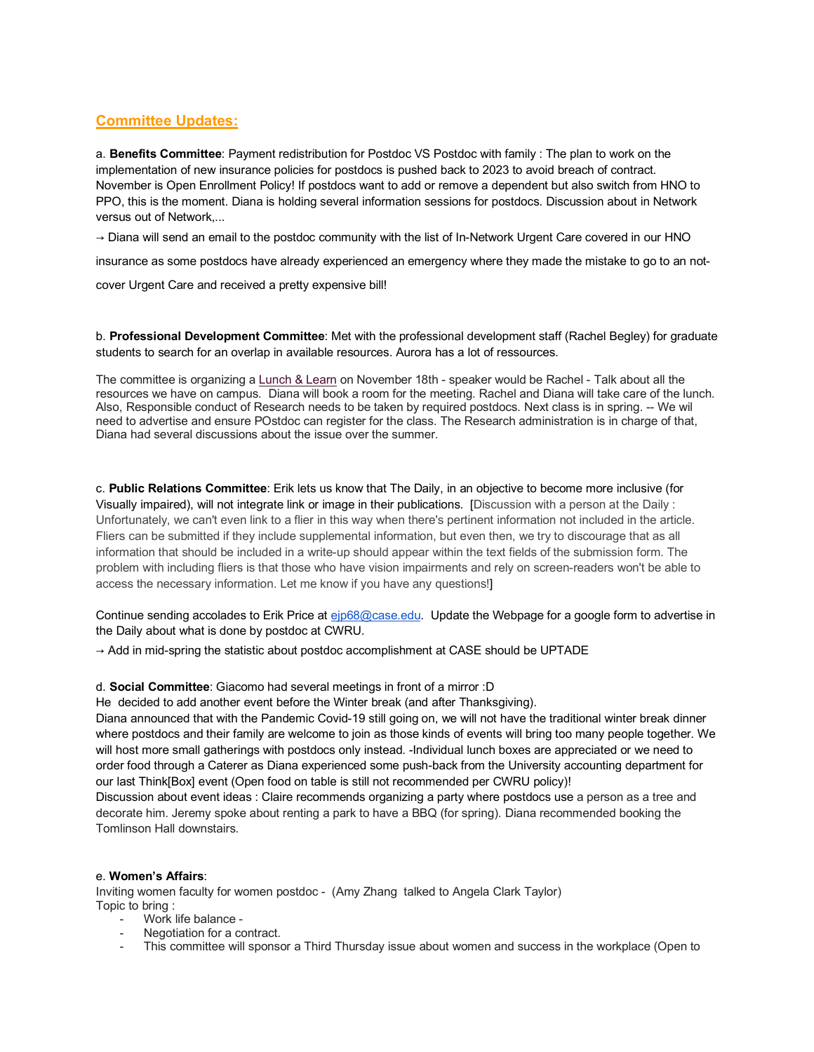## **Committee Updates:**

a. **Benefits Committee**: Payment redistribution for Postdoc VS Postdoc with family : The plan to work on the implementation of new insurance policies for postdocs is pushed back to 2023 to avoid breach of contract. November is Open Enrollment Policy! If postdocs want to add or remove a dependent but also switch from HNO to PPO, this is the moment. Diana is holding several information sessions for postdocs. Discussion about in Network versus out of Network,...

 $\rightarrow$  Diana will send an email to the postdoc community with the list of In-Network Urgent Care covered in our HNO

insurance as some postdocs have already experienced an emergency where they made the mistake to go to an not-

cover Urgent Care and received a pretty expensive bill!

b. **Professional Development Committee**: Met with the professional development staff (Rachel Begley) for graduate students to search for an overlap in available resources. Aurora has a lot of ressources.

The committee is organizing a Lunch & Learn on November 18th - speaker would be Rachel - Talk about all the resources we have on campus. Diana will book a room for the meeting. Rachel and Diana will take care of the lunch. Also, Responsible conduct of Research needs to be taken by required postdocs. Next class is in spring. -- We wil need to advertise and ensure POstdoc can register for the class. The Research administration is in charge of that, Diana had several discussions about the issue over the summer.

c. **Public Relations Committee**: Erik lets us know that The Daily, in an objective to become more inclusive (for Visually impaired), will not integrate link or image in their publications. [Discussion with a person at the Daily : Unfortunately, we can't even link to a flier in this way when there's pertinent information not included in the article. Fliers can be submitted if they include supplemental information, but even then, we try to discourage that as all information that should be included in a write-up should appear within the text fields of the submission form. The problem with including fliers is that those who have vision impairments and rely on screen-readers won't be able to access the necessary information. Let me know if you have any questions!]

Continue sending accolades to Erik Price at ejp68@case.edu. Update the Webpage for a google form to advertise in the Daily about what is done by postdoc at CWRU.

 $\rightarrow$  Add in mid-spring the statistic about postdoc accomplishment at CASE should be UPTADE

### d. **Social Committee**: Giacomo had several meetings in front of a mirror :D

He decided to add another event before the Winter break (and after Thanksgiving).

Diana announced that with the Pandemic Covid-19 still going on, we will not have the traditional winter break dinner where postdocs and their family are welcome to join as those kinds of events will bring too many people together. We will host more small gatherings with postdocs only instead. -Individual lunch boxes are appreciated or we need to order food through a Caterer as Diana experienced some push-back from the University accounting department for our last Think[Box] event (Open food on table is still not recommended per CWRU policy)!

Discussion about event ideas : Claire recommends organizing a party where postdocs use a person as a tree and decorate him. Jeremy spoke about renting a park to have a BBQ (for spring). Diana recommended booking the Tomlinson Hall downstairs.

### e. **Women's Affairs**:

Inviting women faculty for women postdoc - (Amy Zhang talked to Angela Clark Taylor) Topic to bring :

- Work life balance -
- Negotiation for a contract.
- This committee will sponsor a Third Thursday issue about women and success in the workplace (Open to